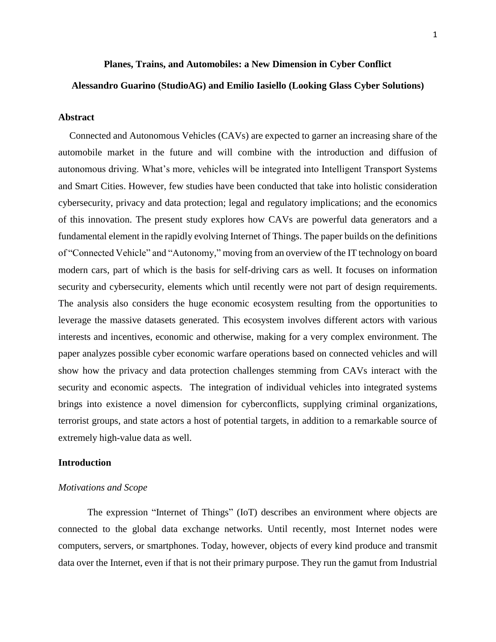1

## **Planes, Trains, and Automobiles: a New Dimension in Cyber Conflict**

## **Alessandro Guarino (StudioAG) and Emilio Iasiello (Looking Glass Cyber Solutions)**

## **Abstract**

Connected and Autonomous Vehicles (CAVs) are expected to garner an increasing share of the automobile market in the future and will combine with the introduction and diffusion of autonomous driving. What's more, vehicles will be integrated into Intelligent Transport Systems and Smart Cities. However, few studies have been conducted that take into holistic consideration cybersecurity, privacy and data protection; legal and regulatory implications; and the economics of this innovation. The present study explores how CAVs are powerful data generators and a fundamental element in the rapidly evolving Internet of Things. The paper builds on the definitions of "Connected Vehicle" and "Autonomy," moving from an overview of the IT technology on board modern cars, part of which is the basis for self-driving cars as well. It focuses on information security and cybersecurity, elements which until recently were not part of design requirements. The analysis also considers the huge economic ecosystem resulting from the opportunities to leverage the massive datasets generated. This ecosystem involves different actors with various interests and incentives, economic and otherwise, making for a very complex environment. The paper analyzes possible cyber economic warfare operations based on connected vehicles and will show how the privacy and data protection challenges stemming from CAVs interact with the security and economic aspects. The integration of individual vehicles into integrated systems brings into existence a novel dimension for cyberconflicts, supplying criminal organizations, terrorist groups, and state actors a host of potential targets, in addition to a remarkable source of extremely high-value data as well.

#### **Introduction**

### *Motivations and Scope*

The expression "Internet of Things" (IoT) describes an environment where objects are connected to the global data exchange networks. Until recently, most Internet nodes were computers, servers, or smartphones. Today, however, objects of every kind produce and transmit data over the Internet, even if that is not their primary purpose. They run the gamut from Industrial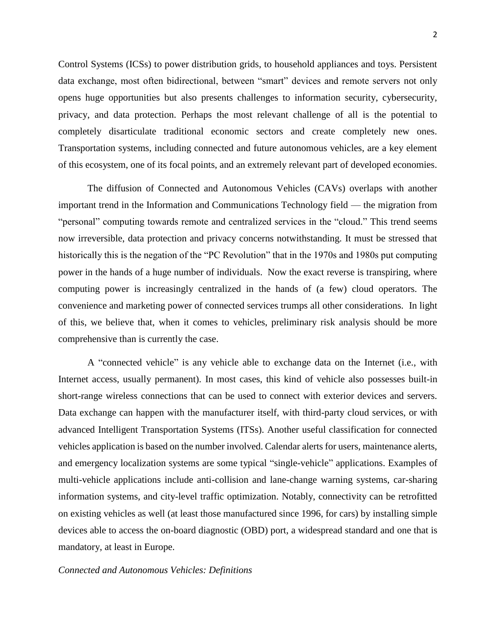Control Systems (ICSs) to power distribution grids, to household appliances and toys. Persistent data exchange, most often bidirectional, between "smart" devices and remote servers not only opens huge opportunities but also presents challenges to information security, cybersecurity, privacy, and data protection. Perhaps the most relevant challenge of all is the potential to completely disarticulate traditional economic sectors and create completely new ones. Transportation systems, including connected and future autonomous vehicles, are a key element of this ecosystem, one of its focal points, and an extremely relevant part of developed economies.

The diffusion of Connected and Autonomous Vehicles (CAVs) overlaps with another important trend in the Information and Communications Technology field — the migration from "personal" computing towards remote and centralized services in the "cloud." This trend seems now irreversible, data protection and privacy concerns notwithstanding. It must be stressed that historically this is the negation of the "PC Revolution" that in the 1970s and 1980s put computing power in the hands of a huge number of individuals. Now the exact reverse is transpiring, where computing power is increasingly centralized in the hands of (a few) cloud operators. The convenience and marketing power of connected services trumps all other considerations. In light of this, we believe that, when it comes to vehicles, preliminary risk analysis should be more comprehensive than is currently the case.

A "connected vehicle" is any vehicle able to exchange data on the Internet (i.e., with Internet access, usually permanent). In most cases, this kind of vehicle also possesses built-in short-range wireless connections that can be used to connect with exterior devices and servers. Data exchange can happen with the manufacturer itself, with third-party cloud services, or with advanced Intelligent Transportation Systems (ITSs). Another useful classification for connected vehicles application is based on the number involved. Calendar alerts for users, maintenance alerts, and emergency localization systems are some typical "single-vehicle" applications. Examples of multi-vehicle applications include anti-collision and lane-change warning systems, car-sharing information systems, and city-level traffic optimization. Notably, connectivity can be retrofitted on existing vehicles as well (at least those manufactured since 1996, for cars) by installing simple devices able to access the on-board diagnostic (OBD) port, a widespread standard and one that is mandatory, at least in Europe.

## *Connected and Autonomous Vehicles: Definitions*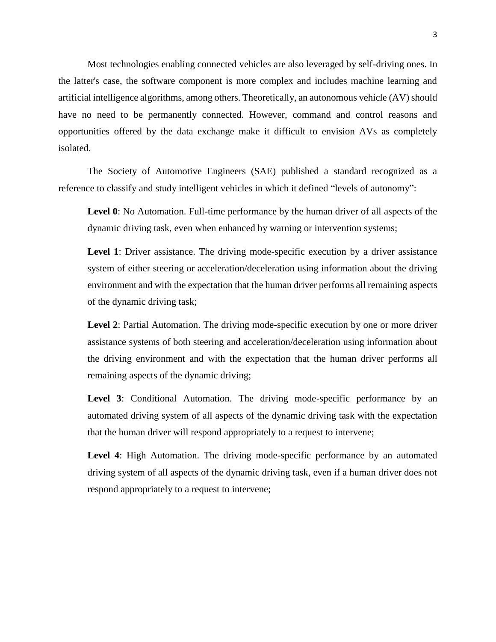Most technologies enabling connected vehicles are also leveraged by self-driving ones. In the latter's case, the software component is more complex and includes machine learning and artificial intelligence algorithms, among others. Theoretically, an autonomous vehicle (AV) should have no need to be permanently connected. However, command and control reasons and opportunities offered by the data exchange make it difficult to envision AVs as completely isolated.

The Society of Automotive Engineers (SAE) published a standard recognized as a reference to classify and study intelligent vehicles in which it defined "levels of autonomy":

**Level 0**: No Automation. Full-time performance by the human driver of all aspects of the dynamic driving task, even when enhanced by warning or intervention systems;

**Level 1**: Driver assistance. The driving mode-specific execution by a driver assistance system of either steering or acceleration/deceleration using information about the driving environment and with the expectation that the human driver performs all remaining aspects of the dynamic driving task;

**Level 2**: Partial Automation. The driving mode-specific execution by one or more driver assistance systems of both steering and acceleration/deceleration using information about the driving environment and with the expectation that the human driver performs all remaining aspects of the dynamic driving;

Level 3: Conditional Automation. The driving mode-specific performance by an automated driving system of all aspects of the dynamic driving task with the expectation that the human driver will respond appropriately to a request to intervene;

**Level 4**: High Automation. The driving mode-specific performance by an automated driving system of all aspects of the dynamic driving task, even if a human driver does not respond appropriately to a request to intervene;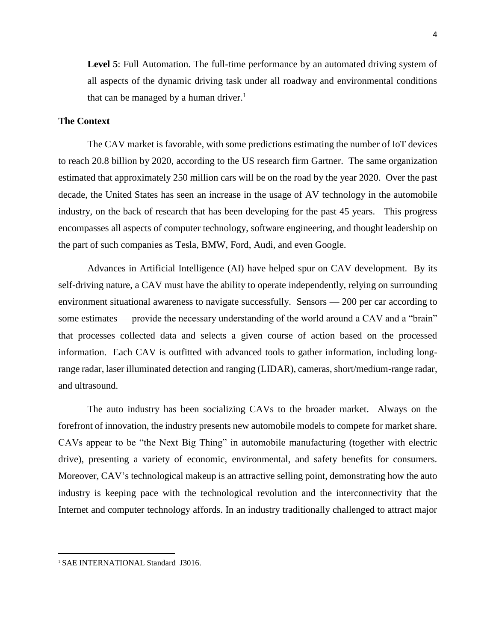**Level 5**: Full Automation. The full-time performance by an automated driving system of all aspects of the dynamic driving task under all roadway and environmental conditions that can be managed by a human driver.<sup>1</sup>

# **The Context**

The CAV market is favorable, with some predictions estimating the number of IoT devices to reach 20.8 billion by 2020, according to the US research firm Gartner. The same organization estimated that approximately 250 million cars will be on the road by the year 2020. Over the past decade, the United States has seen an increase in the usage of AV technology in the automobile industry, on the back of research that has been developing for the past 45 years. This progress encompasses all aspects of computer technology, software engineering, and thought leadership on the part of such companies as Tesla, BMW, Ford, Audi, and even Google.

Advances in Artificial Intelligence (AI) have helped spur on CAV development. By its self-driving nature, a CAV must have the ability to operate independently, relying on surrounding environment situational awareness to navigate successfully. Sensors — 200 per car according to some estimates — provide the necessary understanding of the world around a CAV and a "brain" that processes collected data and selects a given course of action based on the processed information. Each CAV is outfitted with advanced tools to gather information, including longrange radar, laser illuminated detection and ranging (LIDAR), cameras, short/medium-range radar, and ultrasound.

The auto industry has been socializing CAVs to the broader market. Always on the forefront of innovation, the industry presents new automobile models to compete for market share. CAVs appear to be "the Next Big Thing" in automobile manufacturing (together with electric drive), presenting a variety of economic, environmental, and safety benefits for consumers. Moreover, CAV's technological makeup is an attractive selling point, demonstrating how the auto industry is keeping pace with the technological revolution and the interconnectivity that the Internet and computer technology affords. In an industry traditionally challenged to attract major

 $\overline{\phantom{a}}$ 

<sup>&</sup>lt;sup>1</sup> SAE INTERNATIONAL Standard J3016.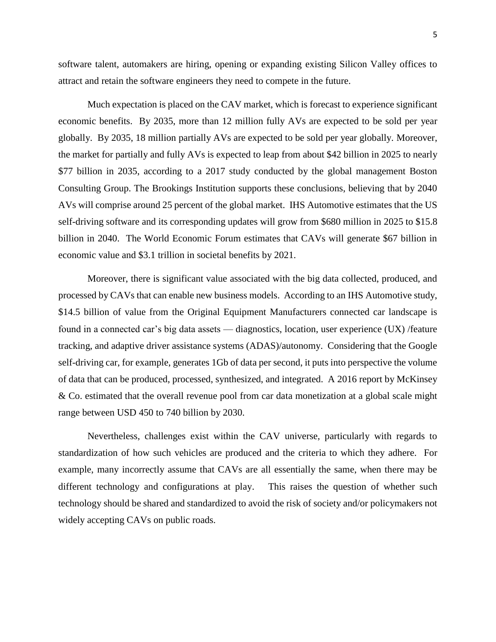software talent, automakers are hiring, opening or expanding existing Silicon Valley offices to attract and retain the software engineers they need to compete in the future.

Much expectation is placed on the CAV market, which is forecast to experience significant economic benefits. By 2035, more than 12 million fully AVs are expected to be sold per year globally. By 2035, 18 million partially AVs are expected to be sold per year globally. Moreover, the market for partially and fully AVs is expected to leap from about \$42 billion in 2025 to nearly \$77 billion in 2035, according to a 2017 study conducted by the global management Boston Consulting Group. The Brookings Institution supports these conclusions, believing that by 2040 AVs will comprise around 25 percent of the global market. IHS Automotive estimates that the US self-driving software and its corresponding updates will grow from \$680 million in 2025 to \$15.8 billion in 2040. The World Economic Forum estimates that CAVs will generate \$67 billion in economic value and \$3.1 trillion in societal benefits by 2021.

Moreover, there is significant value associated with the big data collected, produced, and processed by CAVs that can enable new business models. According to an IHS Automotive study, \$14.5 billion of value from the Original Equipment Manufacturers connected car landscape is found in a connected car's big data assets — diagnostics, location, user experience (UX) /feature tracking, and adaptive driver assistance systems (ADAS)/autonomy. Considering that the Google self-driving car, for example, generates 1Gb of data per second, it puts into perspective the volume of data that can be produced, processed, synthesized, and integrated. A 2016 report by McKinsey & Co. estimated that the overall revenue pool from car data monetization at a global scale might range between USD 450 to 740 billion by 2030.

Nevertheless, challenges exist within the CAV universe, particularly with regards to standardization of how such vehicles are produced and the criteria to which they adhere. For example, many incorrectly assume that CAVs are all essentially the same, when there may be different technology and configurations at play. This raises the question of whether such technology should be shared and standardized to avoid the risk of society and/or policymakers not widely accepting CAVs on public roads.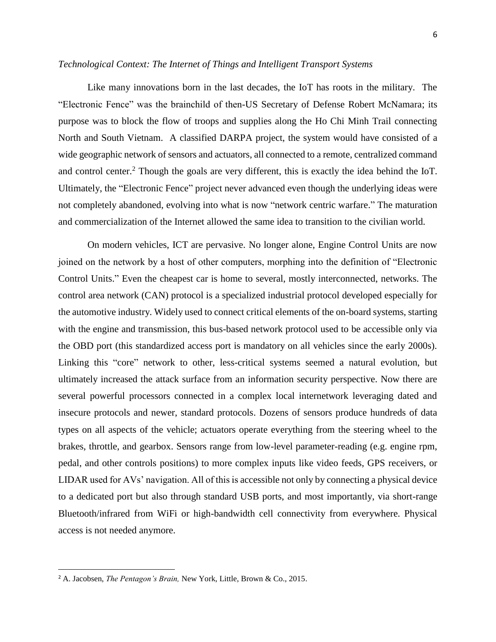## *Technological Context: The Internet of Things and Intelligent Transport Systems*

Like many innovations born in the last decades, the IoT has roots in the military. The "Electronic Fence" was the brainchild of then-US Secretary of Defense Robert McNamara; its purpose was to block the flow of troops and supplies along the Ho Chi Minh Trail connecting North and South Vietnam. A classified DARPA project, the system would have consisted of a wide geographic network of sensors and actuators, all connected to a remote, centralized command and control center.<sup>2</sup> Though the goals are very different, this is exactly the idea behind the IoT. Ultimately, the "Electronic Fence" project never advanced even though the underlying ideas were not completely abandoned, evolving into what is now "network centric warfare." The maturation and commercialization of the Internet allowed the same idea to transition to the civilian world.

On modern vehicles, ICT are pervasive. No longer alone, Engine Control Units are now joined on the network by a host of other computers, morphing into the definition of "Electronic Control Units." Even the cheapest car is home to several, mostly interconnected, networks. The control area network (CAN) protocol is a specialized industrial protocol developed especially for the automotive industry. Widely used to connect critical elements of the on-board systems, starting with the engine and transmission, this bus-based network protocol used to be accessible only via the OBD port (this standardized access port is mandatory on all vehicles since the early 2000s). Linking this "core" network to other, less-critical systems seemed a natural evolution, but ultimately increased the attack surface from an information security perspective. Now there are several powerful processors connected in a complex local internetwork leveraging dated and insecure protocols and newer, standard protocols. Dozens of sensors produce hundreds of data types on all aspects of the vehicle; actuators operate everything from the steering wheel to the brakes, throttle, and gearbox. Sensors range from low-level parameter-reading (e.g. engine rpm, pedal, and other controls positions) to more complex inputs like video feeds, GPS receivers, or LIDAR used for AVs' navigation. All of this is accessible not only by connecting a physical device to a dedicated port but also through standard USB ports, and most importantly, via short-range Bluetooth/infrared from WiFi or high-bandwidth cell connectivity from everywhere. Physical access is not needed anymore.

 $\overline{\phantom{a}}$ 

<sup>2</sup> A. Jacobsen, *The Pentagon's Brain,* New York, Little, Brown & Co., 2015.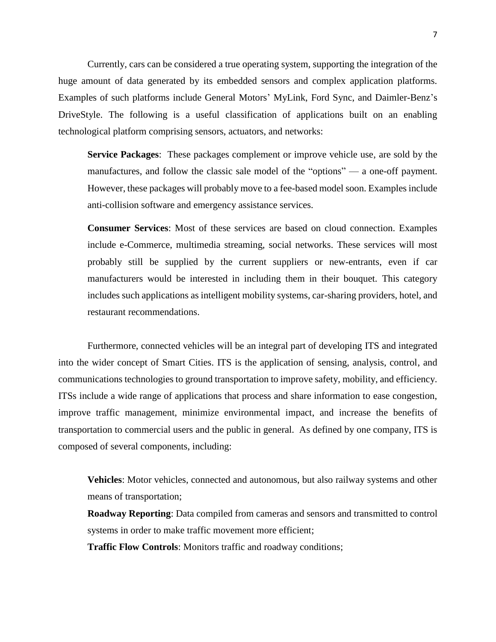Currently, cars can be considered a true operating system, supporting the integration of the huge amount of data generated by its embedded sensors and complex application platforms. Examples of such platforms include General Motors' MyLink, Ford Sync, and Daimler-Benz's DriveStyle. The following is a useful classification of applications built on an enabling technological platform comprising sensors, actuators, and networks:

**Service Packages**: These packages complement or improve vehicle use, are sold by the manufactures, and follow the classic sale model of the "options" — a one-off payment. However, these packages will probably move to a fee-based model soon. Examples include anti-collision software and emergency assistance services.

**Consumer Services**: Most of these services are based on cloud connection. Examples include e-Commerce, multimedia streaming, social networks. These services will most probably still be supplied by the current suppliers or new-entrants, even if car manufacturers would be interested in including them in their bouquet. This category includes such applications as intelligent mobility systems, car-sharing providers, hotel, and restaurant recommendations.

Furthermore, connected vehicles will be an integral part of developing ITS and integrated into the wider concept of Smart Cities. ITS is the application of sensing, analysis, control, and communications technologies to ground transportation to improve safety, mobility, and efficiency. ITSs include a wide range of applications that process and share information to ease congestion, improve traffic management, minimize environmental impact, and increase the benefits of transportation to commercial users and the public in general. As defined by one company, ITS is composed of several components, including:

**Vehicles**: Motor vehicles, connected and autonomous, but also railway systems and other means of transportation;

**Roadway Reporting**: Data compiled from cameras and sensors and transmitted to control systems in order to make traffic movement more efficient;

**Traffic Flow Controls**: Monitors traffic and roadway conditions;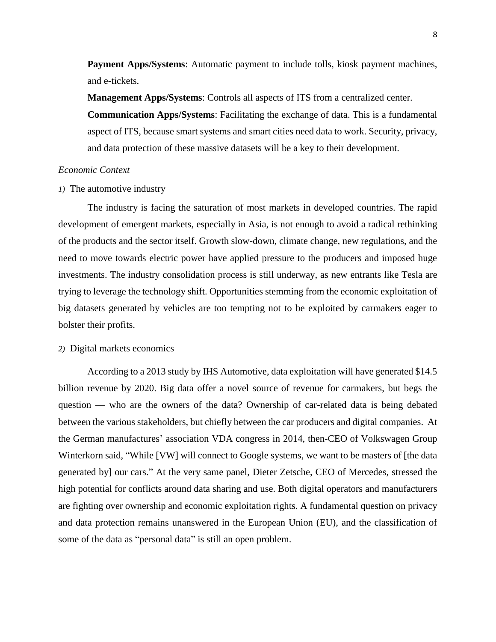**Payment Apps/Systems**: Automatic payment to include tolls, kiosk payment machines, and e-tickets.

**Management Apps/Systems**: Controls all aspects of ITS from a centralized center. **Communication Apps/Systems**: Facilitating the exchange of data. This is a fundamental aspect of ITS, because smart systems and smart cities need data to work. Security, privacy, and data protection of these massive datasets will be a key to their development.

### *Economic Context*

*1)* The automotive industry

The industry is facing the saturation of most markets in developed countries. The rapid development of emergent markets, especially in Asia, is not enough to avoid a radical rethinking of the products and the sector itself. Growth slow-down, climate change, new regulations, and the need to move towards electric power have applied pressure to the producers and imposed huge investments. The industry consolidation process is still underway, as new entrants like Tesla are trying to leverage the technology shift. Opportunities stemming from the economic exploitation of big datasets generated by vehicles are too tempting not to be exploited by carmakers eager to bolster their profits.

# *2)* Digital markets economics

According to a 2013 study by IHS Automotive, data exploitation will have generated \$14.5 billion revenue by 2020. Big data offer a novel source of revenue for carmakers, but begs the question — who are the owners of the data? Ownership of car-related data is being debated between the various stakeholders, but chiefly between the car producers and digital companies. At the German manufactures' association VDA congress in 2014, then-CEO of Volkswagen Group Winterkorn said, "While [VW] will connect to Google systems, we want to be masters of [the data generated by] our cars." At the very same panel, Dieter Zetsche, CEO of Mercedes, stressed the high potential for conflicts around data sharing and use. Both digital operators and manufacturers are fighting over ownership and economic exploitation rights. A fundamental question on privacy and data protection remains unanswered in the European Union (EU), and the classification of some of the data as "personal data" is still an open problem.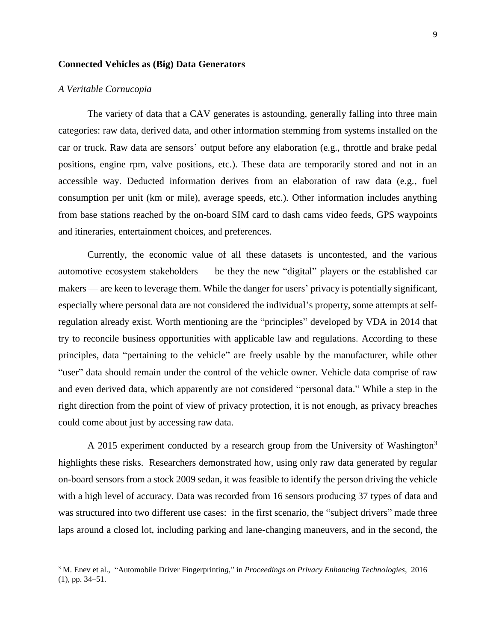## **Connected Vehicles as (Big) Data Generators**

## *A Veritable Cornucopia*

l

The variety of data that a CAV generates is astounding, generally falling into three main categories: raw data, derived data, and other information stemming from systems installed on the car or truck. Raw data are sensors' output before any elaboration (e.g., throttle and brake pedal positions, engine rpm, valve positions, etc.). These data are temporarily stored and not in an accessible way. Deducted information derives from an elaboration of raw data (e.g., fuel consumption per unit (km or mile), average speeds, etc.). Other information includes anything from base stations reached by the on-board SIM card to dash cams video feeds, GPS waypoints and itineraries, entertainment choices, and preferences.

Currently, the economic value of all these datasets is uncontested, and the various automotive ecosystem stakeholders — be they the new "digital" players or the established car makers — are keen to leverage them. While the danger for users' privacy is potentially significant, especially where personal data are not considered the individual's property, some attempts at selfregulation already exist. Worth mentioning are the "principles" developed by VDA in 2014 that try to reconcile business opportunities with applicable law and regulations. According to these principles, data "pertaining to the vehicle" are freely usable by the manufacturer, while other "user" data should remain under the control of the vehicle owner. Vehicle data comprise of raw and even derived data, which apparently are not considered "personal data." While a step in the right direction from the point of view of privacy protection, it is not enough, as privacy breaches could come about just by accessing raw data.

A 2015 experiment conducted by a research group from the University of Washington<sup>3</sup> highlights these risks. Researchers demonstrated how, using only raw data generated by regular on-board sensors from a stock 2009 sedan, it was feasible to identify the person driving the vehicle with a high level of accuracy. Data was recorded from 16 sensors producing 37 types of data and was structured into two different use cases: in the first scenario, the "subject drivers" made three laps around a closed lot, including parking and lane-changing maneuvers, and in the second, the

<sup>3</sup> M. Enev et al., "Automobile Driver Fingerprintin*g,*" in *Proceedings on Privacy Enhancing Technologies*, 2016 (1), pp. 34–51.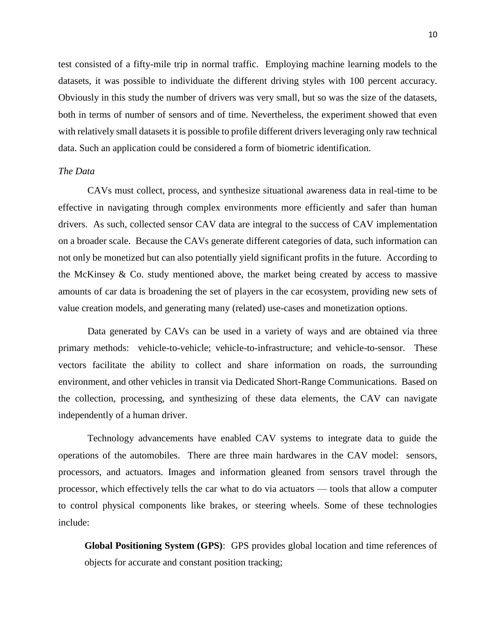test consisted of a fifty-mile trip in normal traffic. Employing machine learning models to the datasets, it was possible to individuate the different driving styles with 100 percent accuracy. Obviously in this study the number of drivers was very small, but so was the size of the datasets, both in terms of number of sensors and of time. Nevertheless, the experiment showed that even with relatively small datasets it is possible to profile different drivers leveraging only raw technical data. Such an application could be considered a form of biometric identification.

### *The Data*

CAVs must collect, process, and synthesize situational awareness data in real-time to be effective in navigating through complex environments more efficiently and safer than human drivers. As such, collected sensor CAV data are integral to the success of CAV implementation on a broader scale. Because the CAVs generate different categories of data, such information can not only be monetized but can also potentially yield significant profits in the future. According to the McKinsey  $\&$  Co. study mentioned above, the market being created by access to massive amounts of car data is broadening the set of players in the car ecosystem, providing new sets of value creation models, and generating many (related) use-cases and monetization options.

Data generated by CAVs can be used in a variety of ways and are obtained via three primary methods: vehicle-to-vehicle; vehicle-to-infrastructure; and vehicle-to-sensor. These vectors facilitate the ability to collect and share information on roads, the surrounding environment, and other vehicles in transit via Dedicated Short-Range Communications. Based on the collection, processing, and synthesizing of these data elements, the CAV can navigate independently of a human driver.

Technology advancements have enabled CAV systems to integrate data to guide the operations of the automobiles. There are three main hardwares in the CAV model: sensors, processors, and actuators. Images and information gleaned from sensors travel through the processor, which effectively tells the car what to do via actuators — tools that allow a computer to control physical components like brakes, or steering wheels. Some of these technologies include:

**Global Positioning System (GPS)**: GPS provides global location and time references of objects for accurate and constant position tracking;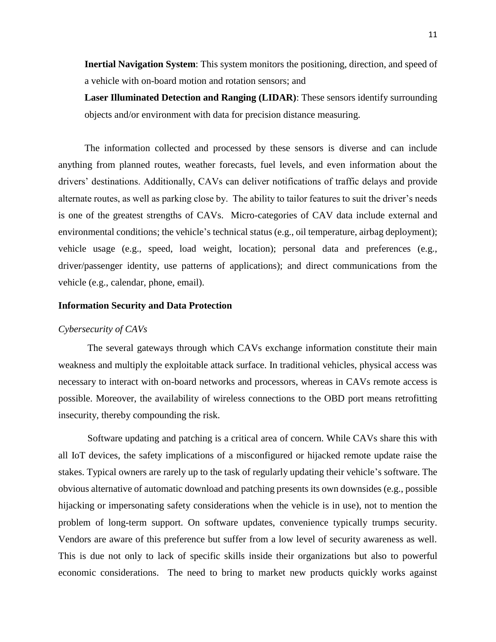**Inertial Navigation System**: This system monitors the positioning, direction, and speed of a vehicle with on-board motion and rotation sensors; and

**Laser Illuminated Detection and Ranging (LIDAR)**: These sensors identify surrounding objects and/or environment with data for precision distance measuring.

The information collected and processed by these sensors is diverse and can include anything from planned routes, weather forecasts, fuel levels, and even information about the drivers' destinations. Additionally, CAVs can deliver notifications of traffic delays and provide alternate routes, as well as parking close by. The ability to tailor features to suit the driver's needs is one of the greatest strengths of CAVs. Micro-categories of CAV data include external and environmental conditions; the vehicle's technical status (e.g., oil temperature, airbag deployment); vehicle usage (e.g., speed, load weight, location); personal data and preferences (e.g., driver/passenger identity, use patterns of applications); and direct communications from the vehicle (e.g., calendar, phone, email).

# **Information Security and Data Protection**

#### *Cybersecurity of CAVs*

The several gateways through which CAVs exchange information constitute their main weakness and multiply the exploitable attack surface. In traditional vehicles, physical access was necessary to interact with on-board networks and processors, whereas in CAVs remote access is possible. Moreover, the availability of wireless connections to the OBD port means retrofitting insecurity, thereby compounding the risk.

Software updating and patching is a critical area of concern. While CAVs share this with all IoT devices, the safety implications of a misconfigured or hijacked remote update raise the stakes. Typical owners are rarely up to the task of regularly updating their vehicle's software. The obvious alternative of automatic download and patching presents its own downsides (e.g., possible hijacking or impersonating safety considerations when the vehicle is in use), not to mention the problem of long-term support. On software updates, convenience typically trumps security. Vendors are aware of this preference but suffer from a low level of security awareness as well. This is due not only to lack of specific skills inside their organizations but also to powerful economic considerations. The need to bring to market new products quickly works against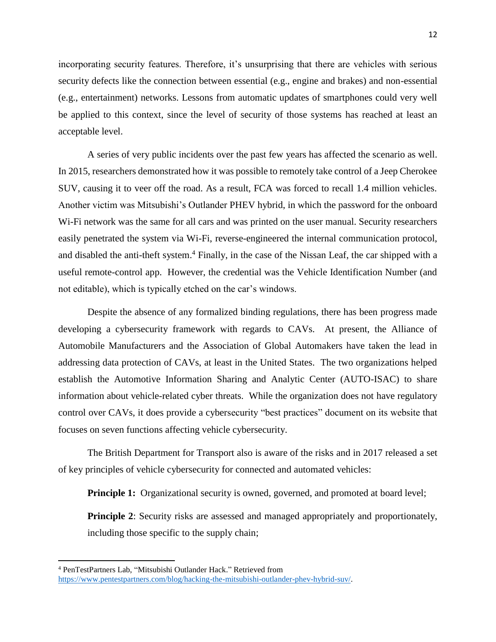incorporating security features. Therefore, it's unsurprising that there are vehicles with serious security defects like the connection between essential (e.g., engine and brakes) and non-essential (e.g., entertainment) networks. Lessons from automatic updates of smartphones could very well be applied to this context, since the level of security of those systems has reached at least an acceptable level.

A series of very public incidents over the past few years has affected the scenario as well. In 2015, researchers demonstrated how it was possible to remotely take control of a Jeep Cherokee SUV, causing it to veer off the road. As a result, FCA was forced to recall 1.4 million vehicles. Another victim was Mitsubishi's Outlander PHEV hybrid, in which the password for the onboard Wi-Fi network was the same for all cars and was printed on the user manual. Security researchers easily penetrated the system via Wi-Fi, reverse-engineered the internal communication protocol, and disabled the anti-theft system. <sup>4</sup> Finally, in the case of the Nissan Leaf, the car shipped with a useful remote-control app. However, the credential was the Vehicle Identification Number (and not editable), which is typically etched on the car's windows.

Despite the absence of any formalized binding regulations, there has been progress made developing a cybersecurity framework with regards to CAVs. At present, the Alliance of Automobile Manufacturers and the Association of Global Automakers have taken the lead in addressing data protection of CAVs, at least in the United States. The two organizations helped establish the Automotive Information Sharing and Analytic Center (AUTO-ISAC) to share information about vehicle-related cyber threats. While the organization does not have regulatory control over CAVs, it does provide a cybersecurity "best practices" document on its website that focuses on seven functions affecting vehicle cybersecurity.

The British Department for Transport also is aware of the risks and in 2017 released a set of key principles of vehicle cybersecurity for connected and automated vehicles:

**Principle 1:** Organizational security is owned, governed, and promoted at board level;

**Principle 2**: Security risks are assessed and managed appropriately and proportionately, including those specific to the supply chain;

 $\overline{a}$ 

<sup>4</sup> PenTestPartners Lab, "Mitsubishi Outlander Hack." Retrieved from [https://www.pentestpartners.com/blog/hacking-the-mitsubishi-outlander-phev-hybrid-suv/.](https://www.pentestpartners.com/blog/hacking-the-mitsubishi-outlander-phev-hybrid-suv/)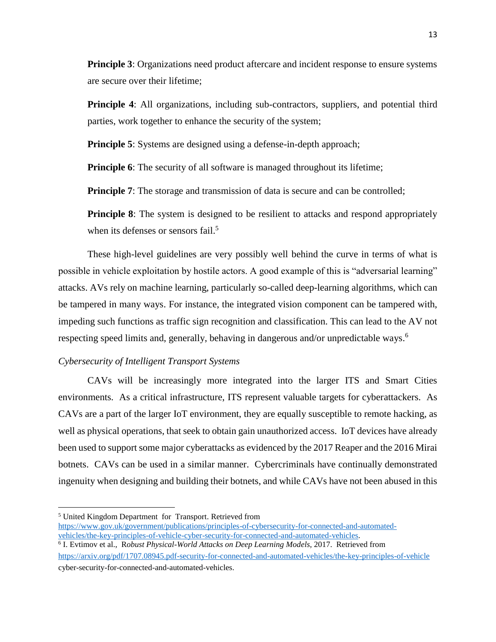**Principle 3**: Organizations need product aftercare and incident response to ensure systems are secure over their lifetime;

**Principle 4:** All organizations, including sub-contractors, suppliers, and potential third parties, work together to enhance the security of the system;

**Principle 5**: Systems are designed using a defense-in-depth approach;

**Principle 6**: The security of all software is managed throughout its lifetime;

**Principle 7:** The storage and transmission of data is secure and can be controlled;

**Principle 8**: The system is designed to be resilient to attacks and respond appropriately when its defenses or sensors fail.<sup>5</sup>

These high-level guidelines are very possibly well behind the curve in terms of what is possible in vehicle exploitation by hostile actors. A good example of this is "adversarial learning" attacks. AVs rely on machine learning, particularly so-called deep-learning algorithms, which can be tampered in many ways. For instance, the integrated vision component can be tampered with, impeding such functions as traffic sign recognition and classification. This can lead to the AV not respecting speed limits and, generally, behaving in dangerous and/or unpredictable ways. 6

### *Cybersecurity of Intelligent Transport Systems*

CAVs will be increasingly more integrated into the larger ITS and Smart Cities environments. As a critical infrastructure, ITS represent valuable targets for cyberattackers. As CAVs are a part of the larger IoT environment, they are equally susceptible to remote hacking, as well as physical operations, that seek to obtain gain unauthorized access. IoT devices have already been used to support some major cyberattacks as evidenced by the 2017 Reaper and the 2016 Mirai botnets. CAVs can be used in a similar manner. Cybercriminals have continually demonstrated ingenuity when designing and building their botnets, and while CAVs have not been abused in this

 $\overline{a}$ 

<sup>5</sup> United Kingdom Department for Transport. Retrieved from

[https://www.gov.uk/government/publications/principles-of-cybersecurity-for-connected-and-automated](https://www.gov.uk/government/publications/principles-of-cybersecurity-for-connected-and-automated-vehicles/the-key-principles-of-vehicle-cyber-security-for-connected-and-automated-vehicles)[vehicles/the-key-principles-of-vehicle-cyber-security-for-connected-and-automated-vehicles.](https://www.gov.uk/government/publications/principles-of-cybersecurity-for-connected-and-automated-vehicles/the-key-principles-of-vehicle-cyber-security-for-connected-and-automated-vehicles)

<sup>6</sup> I. Evtimov et al., R*obust Physical-World Attacks on Deep Learning Models,* 2017. Retrieved from <https://arxiv.org/pdf/1707.08945.pdf-security-for-connected-and-automated-vehicles/the-key-principles-of-vehicle> cyber-security-for-connected-and-automated-vehicles.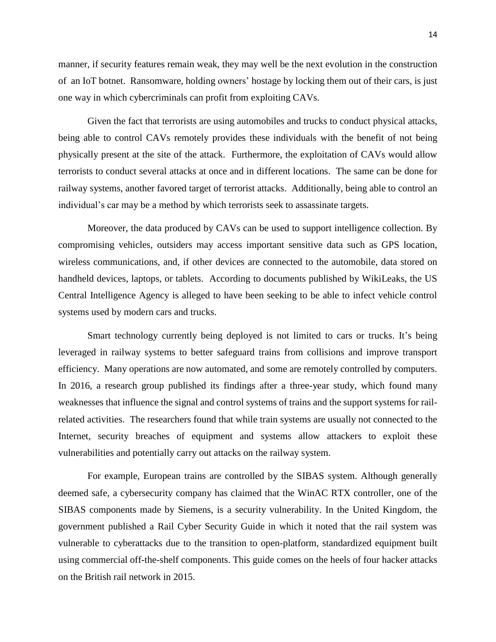manner, if security features remain weak, they may well be the next evolution in the construction of an IoT botnet. Ransomware, holding owners' hostage by locking them out of their cars, is just one way in which cybercriminals can profit from exploiting CAVs.

Given the fact that terrorists are using automobiles and trucks to conduct physical attacks, being able to control CAVs remotely provides these individuals with the benefit of not being physically present at the site of the attack. Furthermore, the exploitation of CAVs would allow terrorists to conduct several attacks at once and in different locations. The same can be done for railway systems, another favored target of terrorist attacks. Additionally, being able to control an individual's car may be a method by which terrorists seek to assassinate targets.

Moreover, the data produced by CAVs can be used to support intelligence collection. By compromising vehicles, outsiders may access important sensitive data such as GPS location, wireless communications, and, if other devices are connected to the automobile, data stored on handheld devices, laptops, or tablets. According to documents published by WikiLeaks, the US Central Intelligence Agency is alleged to have been seeking to be able to infect vehicle control systems used by modern cars and trucks.

Smart technology currently being deployed is not limited to cars or trucks. It's being leveraged in railway systems to better safeguard trains from collisions and improve transport efficiency. Many operations are now automated, and some are remotely controlled by computers. In 2016, a research group published its findings after a three-year study, which found many weaknesses that influence the signal and control systems of trains and the support systems for railrelated activities. The researchers found that while train systems are usually not connected to the Internet, security breaches of equipment and systems allow attackers to exploit these vulnerabilities and potentially carry out attacks on the railway system.

For example, European trains are controlled by the SIBAS system. Although generally deemed safe, a cybersecurity company has claimed that the WinAC RTX controller, one of the SIBAS components made by Siemens, is a security vulnerability. In the United Kingdom, the government published a Rail Cyber Security Guide in which it noted that the rail system was vulnerable to cyberattacks due to the transition to open-platform, standardized equipment built using commercial off-the-shelf components. This guide comes on the heels of four hacker attacks on the British rail network in 2015.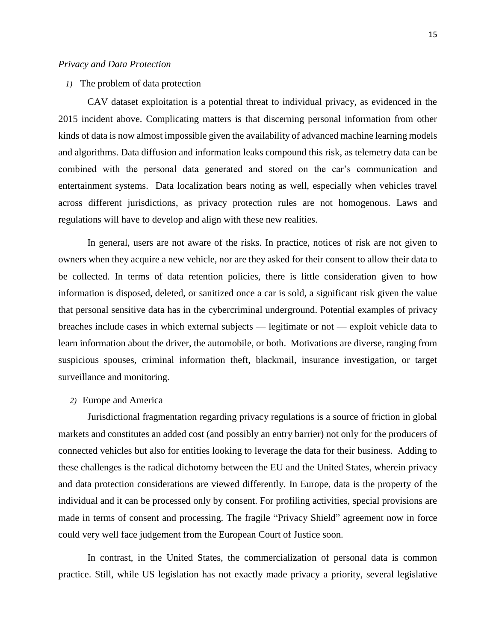### *Privacy and Data Protection*

*1)* The problem of data protection

CAV dataset exploitation is a potential threat to individual privacy, as evidenced in the 2015 incident above. Complicating matters is that discerning personal information from other kinds of data is now almost impossible given the availability of advanced machine learning models and algorithms. Data diffusion and information leaks compound this risk, as telemetry data can be combined with the personal data generated and stored on the car's communication and entertainment systems. Data localization bears noting as well, especially when vehicles travel across different jurisdictions, as privacy protection rules are not homogenous. Laws and regulations will have to develop and align with these new realities.

In general, users are not aware of the risks. In practice, notices of risk are not given to owners when they acquire a new vehicle, nor are they asked for their consent to allow their data to be collected. In terms of data retention policies, there is little consideration given to how information is disposed, deleted, or sanitized once a car is sold, a significant risk given the value that personal sensitive data has in the cybercriminal underground. Potential examples of privacy breaches include cases in which external subjects — legitimate or not — exploit vehicle data to learn information about the driver, the automobile, or both. Motivations are diverse, ranging from suspicious spouses, criminal information theft, blackmail, insurance investigation, or target surveillance and monitoring.

# *2)* Europe and America

Jurisdictional fragmentation regarding privacy regulations is a source of friction in global markets and constitutes an added cost (and possibly an entry barrier) not only for the producers of connected vehicles but also for entities looking to leverage the data for their business. Adding to these challenges is the radical dichotomy between the EU and the United States, wherein privacy and data protection considerations are viewed differently. In Europe, data is the property of the individual and it can be processed only by consent. For profiling activities, special provisions are made in terms of consent and processing. The fragile "Privacy Shield" agreement now in force could very well face judgement from the European Court of Justice soon.

In contrast, in the United States, the commercialization of personal data is common practice. Still, while US legislation has not exactly made privacy a priority, several legislative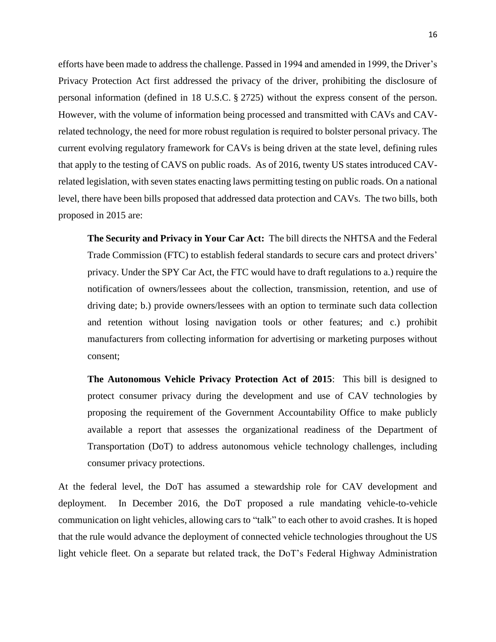efforts have been made to address the challenge. Passed in 1994 and amended in 1999, the Driver's Privacy Protection Act first addressed the privacy of the driver, prohibiting the disclosure of personal information (defined in 18 U.S.C. § 2725) without the express consent of the person. However, with the volume of information being processed and transmitted with CAVs and CAVrelated technology, the need for more robust regulation is required to bolster personal privacy. The current evolving regulatory framework for CAVs is being driven at the state level, defining rules that apply to the testing of CAVS on public roads. As of 2016, twenty US states introduced CAVrelated legislation, with seven states enacting laws permitting testing on public roads. On a national level, there have been bills proposed that addressed data protection and CAVs. The two bills, both proposed in 2015 are:

**The Security and Privacy in Your Car Act:** The bill directs the NHTSA and the Federal Trade Commission (FTC) to establish federal standards to secure cars and protect drivers' privacy. Under the SPY Car Act, the FTC would have to draft regulations to a.) require the notification of owners/lessees about the collection, transmission, retention, and use of driving date; b.) provide owners/lessees with an option to terminate such data collection and retention without losing navigation tools or other features; and c.) prohibit manufacturers from collecting information for advertising or marketing purposes without consent;

**The Autonomous Vehicle Privacy Protection Act of 2015**: This bill is designed to protect consumer privacy during the development and use of CAV technologies by proposing the requirement of the Government Accountability Office to make publicly available a report that assesses the organizational readiness of the Department of Transportation (DoT) to address autonomous vehicle technology challenges, including consumer privacy protections.

At the federal level, the DoT has assumed a stewardship role for CAV development and deployment. In December 2016, the DoT proposed a rule mandating vehicle-to-vehicle communication on light vehicles, allowing cars to "talk" to each other to avoid crashes. It is hoped that the rule would advance the deployment of connected vehicle technologies throughout the US light vehicle fleet. On a separate but related track, the DoT's Federal Highway Administration